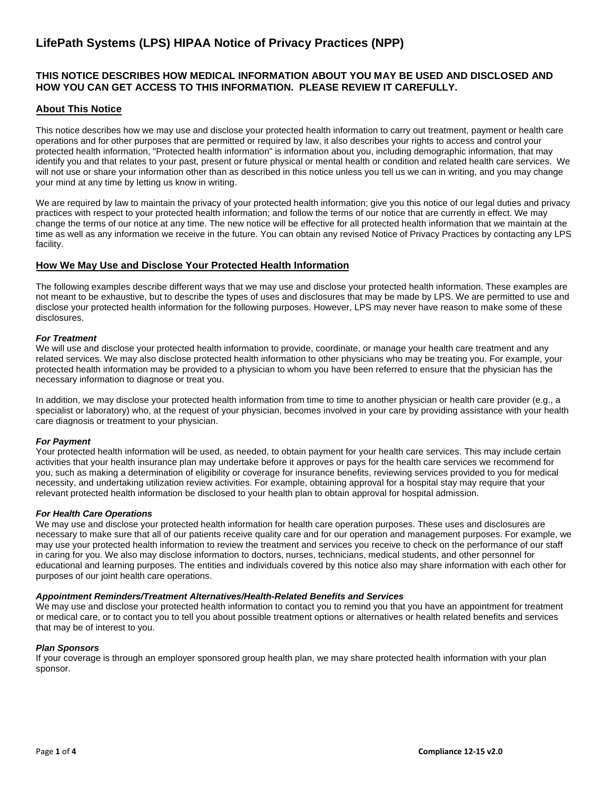# **LifePath Systems (LPS) HIPAA Notice of Privacy Practices (NPP)**

# **THIS NOTICE DESCRIBES HOW MEDICAL INFORMATION ABOUT YOU MAY BE USED AND DISCLOSED AND HOW YOU CAN GET ACCESS TO THIS INFORMATION. PLEASE REVIEW IT CAREFULLY.**

# **About This Notice**

This notice describes how we may use and disclose your protected health information to carry out treatment, payment or health care operations and for other purposes that are permitted or required by law, it also describes your rights to access and control your protected health information, "Protected health information" is information about you, including demographic information, that may identify you and that relates to your past, present or future physical or mental health or condition and related health care services. We will not use or share your information other than as described in this notice unless you tell us we can in writing, and you may change your mind at any time by letting us know in writing.

We are required by law to maintain the privacy of your protected health information; give you this notice of our legal duties and privacy practices with respect to your protected health information; and follow the terms of our notice that are currently in effect. We may change the terms of our notice at any time. The new notice will be effective for all protected health information that we maintain at the time as well as any information we receive in the future. You can obtain any revised Notice of Privacy Practices by contacting any LPS facility.

# **How We May Use and Disclose Your Protected Health Information**

The following examples describe different ways that we may use and disclose your protected health information. These examples are not meant to be exhaustive, but to describe the types of uses and disclosures that may be made by LPS. We are permitted to use and disclose your protected health information for the following purposes. However, LPS may never have reason to make some of these disclosures.

# *For Treatment*

We will use and disclose your protected health information to provide, coordinate, or manage your health care treatment and any related services. We may also disclose protected health information to other physicians who may be treating you. For example, your protected health information may be provided to a physician to whom you have been referred to ensure that the physician has the necessary information to diagnose or treat you.

In addition, we may disclose your protected health information from time to time to another physician or health care provider (e.g., a specialist or laboratory) who, at the request of your physician, becomes involved in your care by providing assistance with your health care diagnosis or treatment to your physician.

#### *For Payment*

Your protected health information will be used, as needed, to obtain payment for your health care services. This may include certain activities that your health insurance plan may undertake before it approves or pays for the health care services we recommend for you, such as making a determination of eligibility or coverage for insurance benefits, reviewing services provided to you for medical necessity, and undertaking utilization review activities. For example, obtaining approval for a hospital stay may require that your relevant protected health information be disclosed to your health plan to obtain approval for hospital admission.

#### *For Health Care Operations*

We may use and disclose your protected health information for health care operation purposes. These uses and disclosures are necessary to make sure that all of our patients receive quality care and for our operation and management purposes. For example, we may use your protected health information to review the treatment and services you receive to check on the performance of our staff in caring for you. We also may disclose information to doctors, nurses, technicians, medical students, and other personnel for educational and learning purposes. The entities and individuals covered by this notice also may share information with each other for purposes of our joint health care operations.

#### *Appointment Reminders/Treatment Alternatives/Health-Related Benefits and Services*

We may use and disclose your protected health information to contact you to remind you that you have an appointment for treatment or medical care, or to contact you to tell you about possible treatment options or alternatives or health related benefits and services that may be of interest to you.

#### *Plan Sponsors*

If your coverage is through an employer sponsored group health plan, we may share protected health information with your plan sponsor.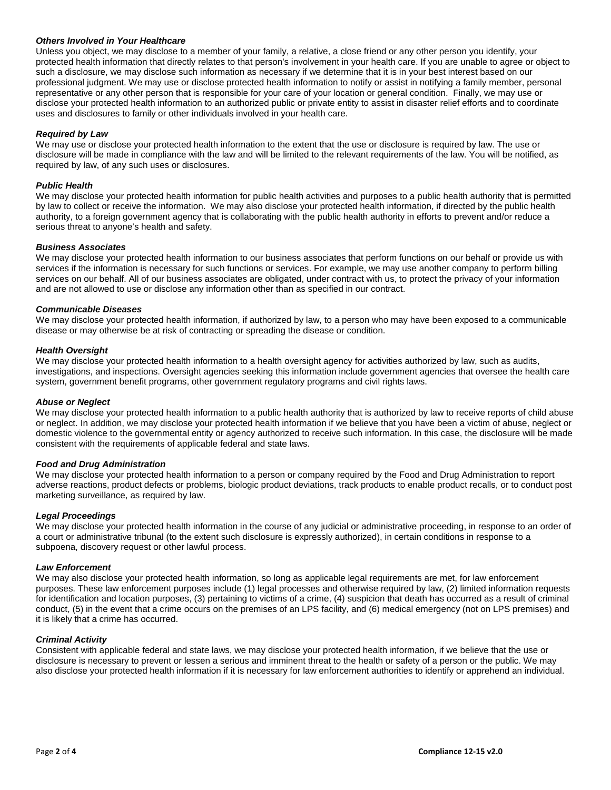#### *Others Involved in Your Healthcare*

Unless you object, we may disclose to a member of your family, a relative, a close friend or any other person you identify, your protected health information that directly relates to that person's involvement in your health care. If you are unable to agree or object to such a disclosure, we may disclose such information as necessary if we determine that it is in your best interest based on our professional judgment. We may use or disclose protected health information to notify or assist in notifying a family member, personal representative or any other person that is responsible for your care of your location or general condition. Finally, we may use or disclose your protected health information to an authorized public or private entity to assist in disaster relief efforts and to coordinate uses and disclosures to family or other individuals involved in your health care.

## *Required by Law*

We may use or disclose your protected health information to the extent that the use or disclosure is required by law. The use or disclosure will be made in compliance with the law and will be limited to the relevant requirements of the law. You will be notified, as required by law, of any such uses or disclosures.

## *Public Health*

We may disclose your protected health information for public health activities and purposes to a public health authority that is permitted by law to collect or receive the information. We may also disclose your protected health information, if directed by the public health authority, to a foreign government agency that is collaborating with the public health authority in efforts to prevent and/or reduce a serious threat to anyone's health and safety.

#### *Business Associates*

We may disclose your protected health information to our business associates that perform functions on our behalf or provide us with services if the information is necessary for such functions or services. For example, we may use another company to perform billing services on our behalf. All of our business associates are obligated, under contract with us, to protect the privacy of your information and are not allowed to use or disclose any information other than as specified in our contract.

#### *Communicable Diseases*

We may disclose your protected health information, if authorized by law, to a person who may have been exposed to a communicable disease or may otherwise be at risk of contracting or spreading the disease or condition.

#### *Health Oversight*

We may disclose your protected health information to a health oversight agency for activities authorized by law, such as audits, investigations, and inspections. Oversight agencies seeking this information include government agencies that oversee the health care system, government benefit programs, other government regulatory programs and civil rights laws.

#### *Abuse or Neglect*

We may disclose your protected health information to a public health authority that is authorized by law to receive reports of child abuse or neglect. In addition, we may disclose your protected health information if we believe that you have been a victim of abuse, neglect or domestic violence to the governmental entity or agency authorized to receive such information. In this case, the disclosure will be made consistent with the requirements of applicable federal and state laws.

#### *Food and Drug Administration*

We may disclose your protected health information to a person or company required by the Food and Drug Administration to report adverse reactions, product defects or problems, biologic product deviations, track products to enable product recalls, or to conduct post marketing surveillance, as required by law.

#### *Legal Proceedings*

We may disclose your protected health information in the course of any judicial or administrative proceeding, in response to an order of a court or administrative tribunal (to the extent such disclosure is expressly authorized), in certain conditions in response to a subpoena, discovery request or other lawful process.

#### *Law Enforcement*

We may also disclose your protected health information, so long as applicable legal requirements are met, for law enforcement purposes. These law enforcement purposes include (1) legal processes and otherwise required by law, (2) limited information requests for identification and location purposes, (3) pertaining to victims of a crime, (4) suspicion that death has occurred as a result of criminal conduct, (5) in the event that a crime occurs on the premises of an LPS facility, and (6) medical emergency (not on LPS premises) and it is likely that a crime has occurred.

#### *Criminal Activity*

Consistent with applicable federal and state laws, we may disclose your protected health information, if we believe that the use or disclosure is necessary to prevent or lessen a serious and imminent threat to the health or safety of a person or the public. We may also disclose your protected health information if it is necessary for law enforcement authorities to identify or apprehend an individual.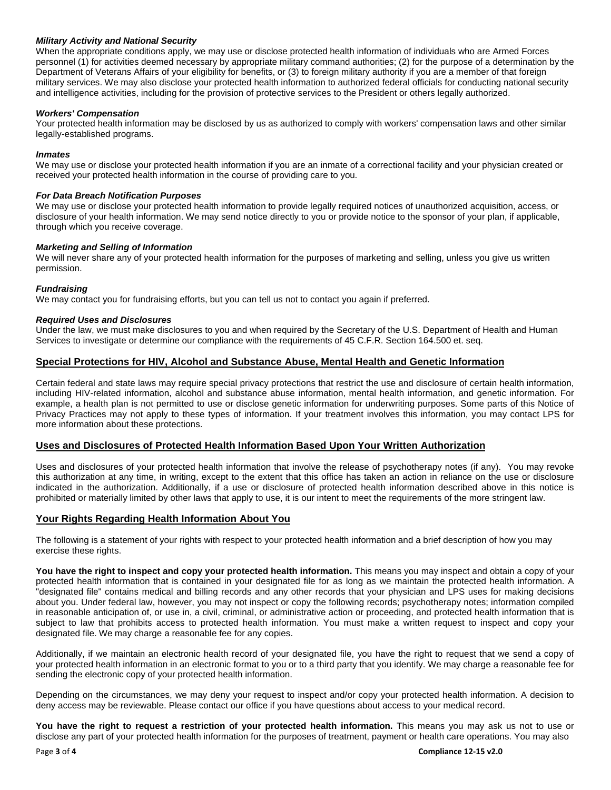# *Military Activity and National Security*

When the appropriate conditions apply, we may use or disclose protected health information of individuals who are Armed Forces personnel (1) for activities deemed necessary by appropriate military command authorities; (2) for the purpose of a determination by the Department of Veterans Affairs of your eligibility for benefits, or (3) to foreign military authority if you are a member of that foreign military services. We may also disclose your protected health information to authorized federal officials for conducting national security and intelligence activities, including for the provision of protective services to the President or others legally authorized.

#### *Workers' Compensation*

Your protected health information may be disclosed by us as authorized to comply with workers' compensation laws and other similar legally-established programs.

## *Inmates*

We may use or disclose your protected health information if you are an inmate of a correctional facility and your physician created or received your protected health information in the course of providing care to you.

#### *For Data Breach Notification Purposes*

We may use or disclose your protected health information to provide legally required notices of unauthorized acquisition, access, or disclosure of your health information. We may send notice directly to you or provide notice to the sponsor of your plan, if applicable, through which you receive coverage.

#### *Marketing and Selling of Information*

We will never share any of your protected health information for the purposes of marketing and selling, unless you give us written permission.

#### *Fundraising*

We may contact you for fundraising efforts, but you can tell us not to contact you again if preferred.

#### *Required Uses and Disclosures*

Under the law, we must make disclosures to you and when required by the Secretary of the U.S. Department of Health and Human Services to investigate or determine our compliance with the requirements of 45 C.F.R. Section 164.500 et. seq.

# **Special Protections for HIV, Alcohol and Substance Abuse, Mental Health and Genetic Information**

Certain federal and state laws may require special privacy protections that restrict the use and disclosure of certain health information, including HIV-related information, alcohol and substance abuse information, mental health information, and genetic information. For example, a health plan is not permitted to use or disclose genetic information for underwriting purposes. Some parts of this Notice of Privacy Practices may not apply to these types of information. If your treatment involves this information, you may contact LPS for more information about these protections.

#### **Uses and Disclosures of Protected Health Information Based Upon Your Written Authorization**

Uses and disclosures of your protected health information that involve the release of psychotherapy notes (if any). You may revoke this authorization at any time, in writing, except to the extent that this office has taken an action in reliance on the use or disclosure indicated in the authorization. Additionally, if a use or disclosure of protected health information described above in this notice is prohibited or materially limited by other laws that apply to use, it is our intent to meet the requirements of the more stringent law.

#### **Your Rights Regarding Health Information About You**

The following is a statement of your rights with respect to your protected health information and a brief description of how you may exercise these rights.

**You have the right to inspect and copy your protected health information.** This means you may inspect and obtain a copy of your protected health information that is contained in your designated file for as long as we maintain the protected health information. A "designated file" contains medical and billing records and any other records that your physician and LPS uses for making decisions about you. Under federal law, however, you may not inspect or copy the following records; psychotherapy notes; information compiled in reasonable anticipation of, or use in, a civil, criminal, or administrative action or proceeding, and protected health information that is subject to law that prohibits access to protected health information. You must make a written request to inspect and copy your designated file. We may charge a reasonable fee for any copies.

Additionally, if we maintain an electronic health record of your designated file, you have the right to request that we send a copy of your protected health information in an electronic format to you or to a third party that you identify. We may charge a reasonable fee for sending the electronic copy of your protected health information.

Depending on the circumstances, we may deny your request to inspect and/or copy your protected health information. A decision to deny access may be reviewable. Please contact our office if you have questions about access to your medical record.

**You have the right to request a restriction of your protected health information.** This means you may ask us not to use or disclose any part of your protected health information for the purposes of treatment, payment or health care operations. You may also